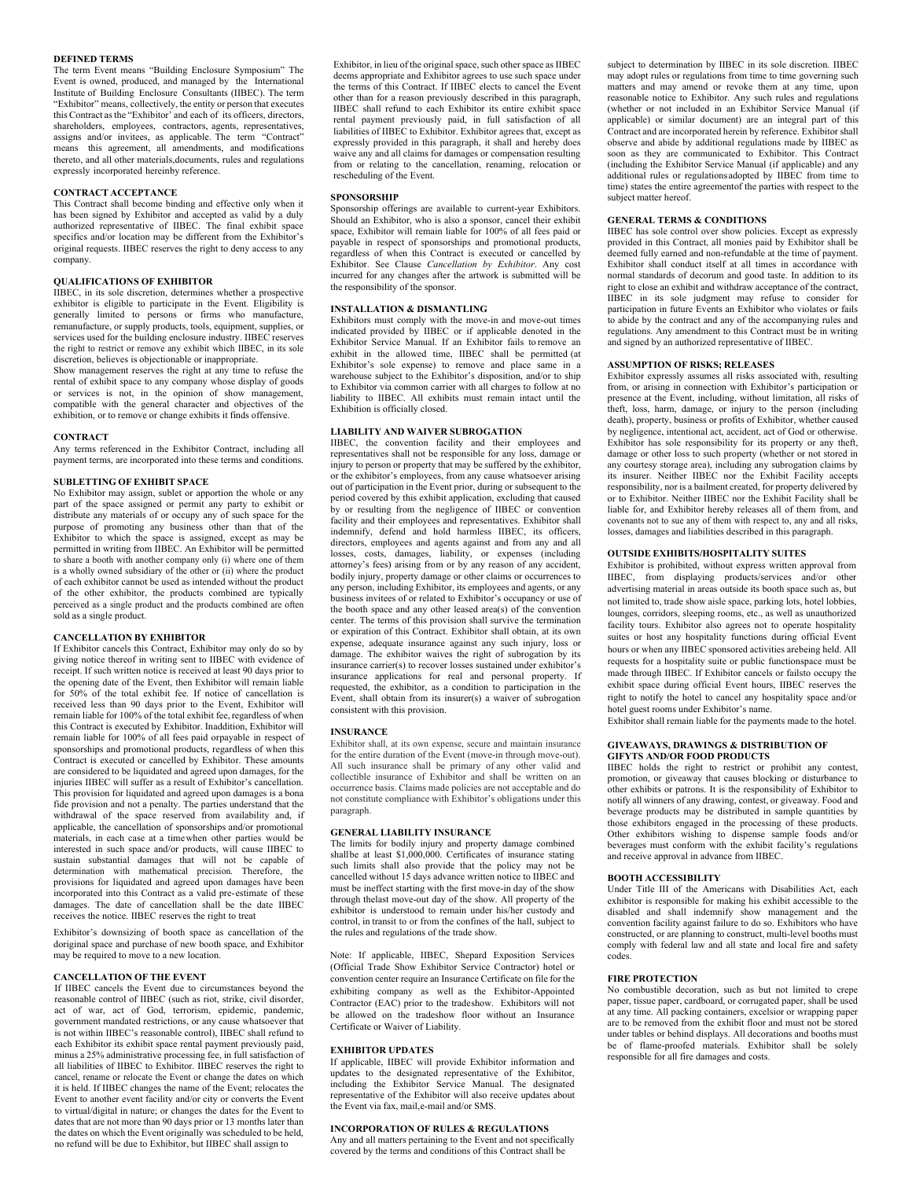### **DEFINED TERMS**

The term Event means "Building Enclosure Symposium" The Event is owned, produced, and managed by the International Institute of Building Enclosure Consultants (IIBEC). The term "Exhibitor" means, collectively, the entity or person that executes this Contract asthe "Exhibitor' and each of its officers, directors, shareholders, employees, contractors, agents, representatives, assigns and/or invitees, as applicable. The term "Contract" means this agreement, all amendments, and modifications thereto, and all other materials,documents, rules and regulations expressly incorporated hereinby reference.

#### **CONTRACT ACCEPTANCE**

This Contract shall become binding and effective only when it has been signed by Exhibitor and accepted as valid by a duly authorized representative of IIBEC. The final exhibit space specifics and/or location may be different from the Exhibitor's original requests. IIBEC reserves the right to deny access to any company.

## **QUALIFICATIONS OF EXHIBITOR**

IIBEC, in its sole discretion, determines whether a prospective exhibitor is eligible to participate in the Event. Eligibility is generally limited to persons or firms who manufacture, remanufacture, or supply products, tools, equipment, supplies, or services used for the building enclosure industry. IIBEC reserves the right to restrict or remove any exhibit which IIBEC, in its sole discretion, believes is objectionable or inappropriate.

Show management reserves the right at any time to refuse the rental of exhibit space to any company whose display of goods or services is not, in the opinion of show management, compatible with the general character and objectives of the exhibition, or to remove or change exhibits it finds offensive.

#### **CONTRACT**

Any terms referenced in the Exhibitor Contract, including all payment terms, are incorporated into these terms and conditions.

## **SUBLETTING OF EXHIBIT SPACE**

No Exhibitor may assign, sublet or apportion the whole or any part of the space assigned or permit any party to exhibit or distribute any materials of or occupy any of such space for the purpose of promoting any business other than that of the Exhibitor to which the space is assigned, except as may be permitted in writing from IIBEC. An Exhibitor will be permitted to share a booth with another company only (i) where one of them is a wholly owned subsidiary of the other or (ii) where the product of each exhibitor cannot be used as intended without the product of the other exhibitor, the products combined are typically perceived as a single product and the products combined are often sold as a single product.

# **CANCELLATION BY EXHIBITOR**

If Exhibitor cancels this Contract, Exhibitor may only do so by giving notice thereof in writing sent to IIBEC with evidence of receipt. If such written notice is received at least 90 days prior to the opening date of the Event, then Exhibitor will remain liable for 50% of the total exhibit fee. If notice of cancellation is received less than 90 days prior to the Event, Exhibitor will remain liable for 100% of the total exhibit fee, regardless of when this Contract is executed by Exhibitor. Inaddition, Exhibitor will remain liable for 100% of all fees paid orpayable in respect of sponsorships and promotional products, regardless of when this Contract is executed or cancelled by Exhibitor. These amounts are considered to be liquidated and agreed upon damages, for the injuries IIBEC will suffer as a result of Exhibitor's cancellation. This provision for liquidated and agreed upon damages is a bona fide provision and not a penalty. The parties understand that the withdrawal of the space reserved from availability and, if applicable, the cancellation of sponsorships and/or promotional materials, in each case at a timewhen other parties would be interested in such space and/or products, will cause IIBEC to sustain substantial damages that will not be capable of determination with mathematical precision. Therefore, the provisions for liquidated and agreed upon damages have been incorporated into this Contract as a valid pre-estimate of these damages. The date of cancellation shall be the date IIBEC receives the notice. IIBEC reserves the right to treat

Exhibitor's downsizing of booth space as cancellation of the doriginal space and purchase of new booth space, and Exhibitor may be required to move to a new location.

# **CANCELLATION OF THE EVENT**

If IIBEC cancels the Event due to circumstances beyond the reasonable control of IIBEC (such as riot, strike, civil disorder, act of war, act of God, terrorism, epidemic, pandemic, government mandated restrictions, or any cause whatsoever that is not within IIBEC's reasonable control), IIBEC shall refund to each Exhibitor its exhibit space rental payment previously paid, minus a 25% administrative processing fee, in full satisfaction of all liabilities of IIBEC to Exhibitor. IIBEC reserves the right to cancel, rename or relocate the Event or change the dates on which it is held. If IIBEC changes the name of the Event; relocates the Event to another event facility and/or city or converts the Event to virtual/digital in nature; or changes the dates for the Event to dates that are not more than 90 days prior or 13 months later than the dates on which the Event originally was scheduled to be held, no refund will be due to Exhibitor, but IIBEC shall assign to

Exhibitor, in lieu of the original space, such other space as IIBEC deems appropriate and Exhibitor agrees to use such space under the terms of this Contract. If IIBEC elects to cancel the Event other than for a reason previously described in this paragraph, IIBEC shall refund to each Exhibitor its entire exhibit space rental payment previously paid, in full satisfaction of all liabilities of IIBEC to Exhibitor. Exhibitor agrees that, except as expressly provided in this paragraph, it shall and hereby does waive any and all claims for damages or compensation resulting from or relating to the cancellation, renaming, relocation or rescheduling of the Event.

### **SPONSORSHIP**

Sponsorship offerings are available to current-year Exhibitors. Should an Exhibitor, who is also a sponsor, cancel their exhibit space, Exhibitor will remain liable for 100% of all fees paid or payable in respect of sponsorships and promotional products, regardless of when this Contract is executed or cancelled by Exhibitor. See Clause *Cancellation by Exhibitor*. Any cost incurred for any changes after the artwork is submitted will be the responsibility of the sponsor.

### **INSTALLATION & DISMANTLING**

Exhibitors must comply with the move-in and move-out times indicated provided by IIBEC or if applicable denoted in the Exhibitor Service Manual. If an Exhibitor fails to remove an exhibit in the allowed time, IIBEC shall be permitted (at Exhibitor's sole expense) to remove and place same in a warehouse subject to the Exhibitor's disposition, and/or to ship to Exhibitor via common carrier with all charges to follow at no liability to IIBEC. All exhibits must remain intact until the Exhibition is officially closed.

# **LIABILITY AND WAIVER SUBROGATION**

IIBEC, the convention facility and their employees and representatives shall not be responsible for any loss, damage or injury to person or property that may be suffered by the exhibitor, or the exhibitor's employees, from any cause whatsoever arising out of participation in the Event prior, during or subsequent to the period covered by this exhibit application, excluding that caused by or resulting from the negligence of IIBEC or convention facility and their employees and representatives. Exhibitor shall indemnify, defend and hold harmless IIBEC, its officers, directors, employees and agents against and from any and all losses, costs, damages, liability, or expenses (including attorney's fees) arising from or by any reason of any accident, bodily injury, property damage or other claims or occurrences to any person, including Exhibitor, its employees and agents, or any business invitees of or related to Exhibitor's occupancy or use of the booth space and any other leased area(s) of the convention center. The terms of this provision shall survive the termination or expiration of this Contract. Exhibitor shall obtain, at its own expense, adequate insurance against any such injury, loss or damage. The exhibitor waives the right of subrogation by its insurance carrier(s) to recover losses sustained under exhibitor's insurance applications for real and personal property. If requested, the exhibitor, as a condition to participation in the Event, shall obtain from its insurer(s) a waiver of subrogation consistent with this provision.

#### **INSURANCE**

Exhibitor shall, at its own expense, secure and maintain insurance for the entire duration of the Event (move-in through move-out). All such insurance shall be primary of any other valid and collectible insurance of Exhibitor and shall be written on an occurrence basis. Claims made policies are not acceptable and do not constitute compliance with Exhibitor's obligations under this paragraph.

### **GENERAL LIABILITY INSURANCE**

The limits for bodily injury and property damage combined shallbe at least \$1,000,000. Certificates of insurance stating such limits shall also provide that the policy may not be cancelled without 15 days advance written notice to IIBEC and must be ineffect starting with the first move-in day of the show through thelast move-out day of the show. All property of the exhibitor is understood to remain under his/her custody and control, in transit to or from the confines of the hall, subject to the rules and regulations of the trade show.

Note: If applicable, IIBEC, Shepard Exposition Services (Official Trade Show Exhibitor Service Contractor) hotel or convention center require an Insurance Certificate on file for the exhibiting company as well as the Exhibitor-Appointed Contractor (EAC) prior to the tradeshow. Exhibitors will not be allowed on the tradeshow floor without an Insurance Certificate or Waiver of Liability.

#### **EXHIBITOR UPDATES**

If applicable, IIBEC will provide Exhibitor information and updates to the designated representative of the Exhibitor, including the Exhibitor Service Manual. The designated representative of the Exhibitor will also receive updates about the Event via fax, mail,e-mail and/or SMS.

### **INCORPORATION OF RULES & REGULATIONS**

Any and all matters pertaining to the Event and not specifically covered by the terms and conditions of this Contract shall be

subject to determination by IIBEC in its sole discretion. IIBEC may adopt rules or regulations from time to time governing such matters and may amend or revoke them at any time, upon reasonable notice to Exhibitor. Any such rules and regulations (whether or not included in an Exhibitor Service Manual (if applicable) or similar document) are an integral part of this Contract and are incorporated herein by reference. Exhibitor shall observe and abide by additional regulations made by IIBEC as soon as they are communicated to Exhibitor. This Contract (including the Exhibitor Service Manual (if applicable) and any additional rules or regulationsadopted by IIBEC from time to time) states the entire agreementof the parties with respect to the subject matter hereof.

### **GENERAL TERMS & CONDITIONS**

IIBEC has sole control over show policies. Except as expressly provided in this Contract, all monies paid by Exhibitor shall be deemed fully earned and non-refundable at the time of payment. Exhibitor shall conduct itself at all times in accordance with normal standards of decorum and good taste. In addition to its right to close an exhibit and withdraw acceptance of the contract, IIBEC in its sole judgment may refuse to consider for participation in future Events an Exhibitor who violates or fails to abide by the contract and any of the accompanying rules and regulations. Any amendment to this Contract must be in writing and signed by an authorized representative of IIBEC.

# **ASSUMPTION OF RISKS; RELEASES**

Exhibitor expressly assumes all risks associated with, resulting from, or arising in connection with Exhibitor's participation or presence at the Event, including, without limitation, all risks of theft, loss, harm, damage, or injury to the person (including death), property, business or profits of Exhibitor, whether caused by negligence, intentional act, accident, act of God or otherwise. Exhibitor has sole responsibility for its property or any theft, damage or other loss to such property (whether or not stored in any courtesy storage area), including any subrogation claims by its insurer. Neither IIBEC nor the Exhibit Facility accepts responsibility, nor is a bailment created, for property delivered by or to Exhibitor. Neither IIBEC nor the Exhibit Facility shall be liable for, and Exhibitor hereby releases all of them from, and covenants not to sue any of them with respect to, any and all risks, losses, damages and liabilities described in this paragraph.

### **OUTSIDE EXHIBITS/HOSPITALITY SUITES**

Exhibitor is prohibited, without express written approval from IIBEC, from displaying products/services and/or other advertising material in areas outside its booth space such as, but not limited to, trade show aisle space, parking lots, hotel lobbies, lounges, corridors, sleeping rooms, etc., as well as unauthorized facility tours. Exhibitor also agrees not to operate hospitality suites or host any hospitality functions during official Event hours or when any IIBEC sponsored activities arebeing held. All requests for a hospitality suite or public functionspace must be made through IIBEC. If Exhibitor cancels or failsto occupy the exhibit space during official Event hours, IIBEC reserves the right to notify the hotel to cancel any hospitality space and/or hotel guest rooms under Exhibitor's name.

Exhibitor shall remain liable for the payments made to the hotel.

#### **GIVEAWAYS, DRAWINGS & DISTRIBUTION OF GIFYTS AND/OR FOOD PRODUCTS**

IIBEC holds the right to restrict or prohibit any contest, promotion, or giveaway that causes blocking or disturbance to other exhibits or patrons. It is the responsibility of Exhibitor to notify all winners of any drawing, contest, or giveaway. Food and beverage products may be distributed in sample quantities by those exhibitors engaged in the processing of these products. Other exhibitors wishing to dispense sample foods and/or beverages must conform with the exhibit facility's regulations and receive approval in advance from IIBEC.

#### **BOOTH ACCESSIBILITY**

Under Title III of the Americans with Disabilities Act, each exhibitor is responsible for making his exhibit accessible to the disabled and shall indemnify show management and the convention facility against failure to do so. Exhibitors who have constructed, or are planning to construct, multi-level booths must comply with federal law and all state and local fire and safety codes.

#### **FIRE PROTECTION**

No combustible decoration, such as but not limited to crepe paper, tissue paper, cardboard, or corrugated paper, shall be used at any time. All packing containers, excelsior or wrapping paper are to be removed from the exhibit floor and must not be stored under tables or behind displays. All decorations and booths must be of flame-proofed materials. Exhibitor shall be solely responsible for all fire damages and costs.